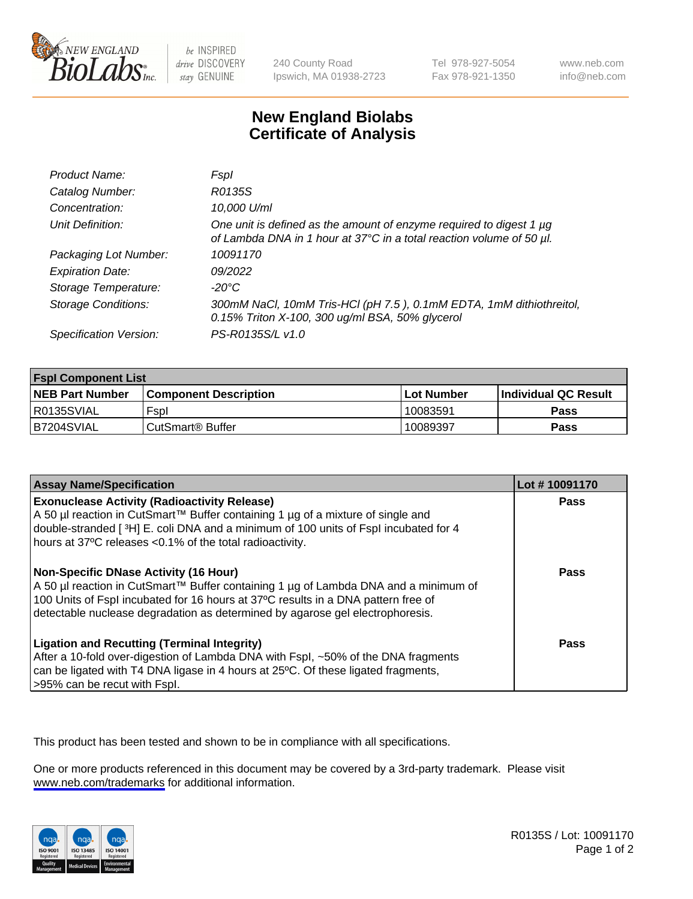

be INSPIRED drive DISCOVERY stay GENUINE

240 County Road Ipswich, MA 01938-2723 Tel 978-927-5054 Fax 978-921-1350

www.neb.com info@neb.com

## **New England Biolabs Certificate of Analysis**

| Product Name:              | Fspl                                                                                                                                        |
|----------------------------|---------------------------------------------------------------------------------------------------------------------------------------------|
| Catalog Number:            | R0135S                                                                                                                                      |
| Concentration:             | 10,000 U/ml                                                                                                                                 |
| Unit Definition:           | One unit is defined as the amount of enzyme required to digest 1 µg<br>of Lambda DNA in 1 hour at 37°C in a total reaction volume of 50 µl. |
| Packaging Lot Number:      | 10091170                                                                                                                                    |
| <b>Expiration Date:</b>    | 09/2022                                                                                                                                     |
| Storage Temperature:       | -20°C                                                                                                                                       |
| <b>Storage Conditions:</b> | 300mM NaCl, 10mM Tris-HCl (pH 7.5), 0.1mM EDTA, 1mM dithiothreitol,<br>0.15% Triton X-100, 300 ug/ml BSA, 50% glycerol                      |
| Specification Version:     | PS-R0135S/L v1.0                                                                                                                            |

| <b>Fspl Component List</b> |                              |             |                      |  |
|----------------------------|------------------------------|-------------|----------------------|--|
| <b>NEB Part Number</b>     | <b>Component Description</b> | ⊺Lot Number | Individual QC Result |  |
| R0135SVIAL                 | Fspl                         | 10083591    | <b>Pass</b>          |  |
| B7204SVIAL                 | ' CutSmart® Buffer_          | 10089397    | Pass                 |  |

| <b>Assay Name/Specification</b>                                                                                                                                                                                                                                                                           | Lot #10091170 |
|-----------------------------------------------------------------------------------------------------------------------------------------------------------------------------------------------------------------------------------------------------------------------------------------------------------|---------------|
| <b>Exonuclease Activity (Radioactivity Release)</b><br>A 50 µl reaction in CutSmart™ Buffer containing 1 µg of a mixture of single and<br>double-stranded [3H] E. coli DNA and a minimum of 100 units of Fspl incubated for 4<br>hours at 37°C releases <0.1% of the total radioactivity.                 | Pass          |
| <b>Non-Specific DNase Activity (16 Hour)</b><br>A 50 µl reaction in CutSmart™ Buffer containing 1 µg of Lambda DNA and a minimum of<br>100 Units of Fspl incubated for 16 hours at 37°C results in a DNA pattern free of<br>detectable nuclease degradation as determined by agarose gel electrophoresis. | Pass          |
| <b>Ligation and Recutting (Terminal Integrity)</b><br>After a 10-fold over-digestion of Lambda DNA with Fspl, ~50% of the DNA fragments<br>can be ligated with T4 DNA ligase in 4 hours at 25°C. Of these ligated fragments,<br>>95% can be recut with Fspl.                                              | Pass          |

This product has been tested and shown to be in compliance with all specifications.

One or more products referenced in this document may be covered by a 3rd-party trademark. Please visit <www.neb.com/trademarks>for additional information.